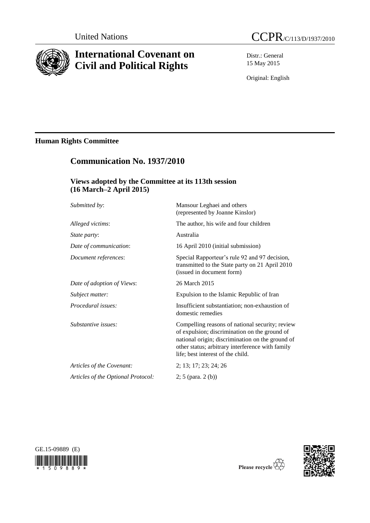

# **International Covenant on Civil and Political Rights**

Distr.: General 15 May 2015

Original: English

# **Human Rights Committee**

# **Communication No. 1937/2010**

# **Views adopted by the Committee at its 113th session (16 March–2 April 2015)**

| Submitted by:                      | Mansour Leghaei and others<br>(represented by Joanne Kinslor)                                                                                                                                                                                 |
|------------------------------------|-----------------------------------------------------------------------------------------------------------------------------------------------------------------------------------------------------------------------------------------------|
| Alleged victims:                   | The author, his wife and four children                                                                                                                                                                                                        |
| <i>State party:</i>                | Australia                                                                                                                                                                                                                                     |
| Date of communication:             | 16 April 2010 (initial submission)                                                                                                                                                                                                            |
| Document references:               | Special Rapporteur's rule 92 and 97 decision,<br>transmitted to the State party on 21 April 2010<br>(issued in document form)                                                                                                                 |
| Date of adoption of Views:         | 26 March 2015                                                                                                                                                                                                                                 |
| Subject matter:                    | Expulsion to the Islamic Republic of Iran                                                                                                                                                                                                     |
| Procedural issues:                 | Insufficient substantiation; non-exhaustion of<br>domestic remedies                                                                                                                                                                           |
| Substantive issues:                | Compelling reasons of national security; review<br>of expulsion; discrimination on the ground of<br>national origin; discrimination on the ground of<br>other status; arbitrary interference with family<br>life; best interest of the child. |
| Articles of the Covenant:          | 2; 13; 17; 23; 24; 26                                                                                                                                                                                                                         |
| Articles of the Optional Protocol: | $2; 5$ (para. $2(b)$ )                                                                                                                                                                                                                        |





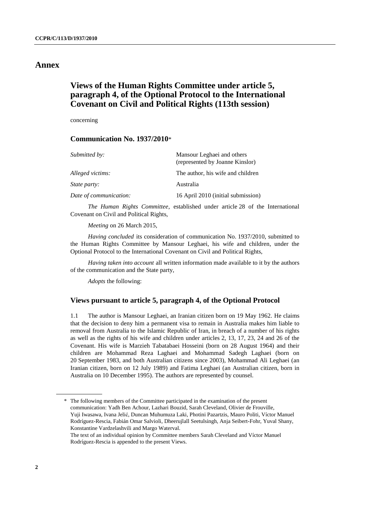## **Annex**

# **Views of the Human Rights Committee under article 5, paragraph 4, of the Optional Protocol to the International Covenant on Civil and Political Rights (113th session)**

concerning

## **Communication No. 1937/2010**\*

| Submitted by:          | Mansour Leghaei and others<br>(represented by Joanne Kinslor) |
|------------------------|---------------------------------------------------------------|
| Alleged victims:       | The author, his wife and children                             |
| <i>State party:</i>    | Australia                                                     |
| Date of communication: | 16 April 2010 (initial submission)                            |
|                        |                                                               |

*The Human Rights Committee*, established under article 28 of the International Covenant on Civil and Political Rights,

*Meeting* on 26 March 2015,

*Having concluded* its consideration of communication No. 1937/2010, submitted to the Human Rights Committee by Mansour Leghaei, his wife and children, under the Optional Protocol to the International Covenant on Civil and Political Rights,

*Having taken into account* all written information made available to it by the authors of the communication and the State party,

*Adopts* the following:

## **Views pursuant to article 5, paragraph 4, of the Optional Protocol**

1.1 The author is Mansour Leghaei, an Iranian citizen born on 19 May 1962. He claims that the decision to deny him a permanent visa to remain in Australia makes him liable to removal from Australia to the Islamic Republic of Iran, in breach of a number of his rights as well as the rights of his wife and children under articles 2, 13, 17, 23, 24 and 26 of the Covenant. His wife is Marzieh Tabatabaei Hosseini (born on 28 August 1964) and their children are Mohammad Reza Laghaei and Mohammad Sadegh Laghaei (born on 20 September 1983, and both Australian citizens since 2003), Mohammad Ali Leghaei (an Iranian citizen, born on 12 July 1989) and Fatima Leghaei (an Australian citizen, born in Australia on 10 December 1995). The authors are represented by counsel.

<sup>\*</sup> The following members of the Committee participated in the examination of the present communication: Yadh Ben Achour, Lazhari Bouzid, Sarah Cleveland, Olivier de Frouville, Yuji Iwasawa, Ivana Jelić, Duncan Muhumuza Laki, Photini Pazartzis, Mauro Politi, Víctor Manuel Rodríguez-Rescia, Fabián Omar Salvioli, Dheerujlall Seetulsingh, Anja Seibert-Fohr, Yuval Shany, Konstantine Vardzelashvili and Margo Waterval. The text of an individual opinion by Committee members Sarah Cleveland and Víctor Manuel Rodríguez-Rescia is appended to the present Views.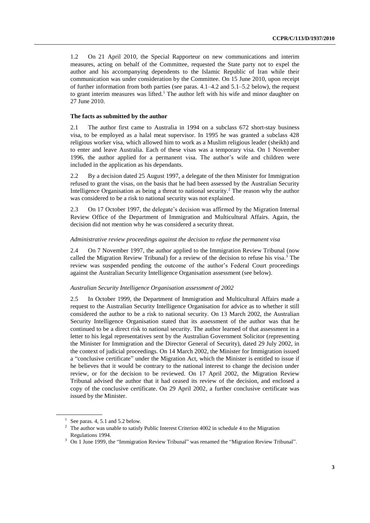1.2 On 21 April 2010, the Special Rapporteur on new communications and interim measures, acting on behalf of the Committee, requested the State party not to expel the author and his accompanying dependents to the Islamic Republic of Iran while their communication was under consideration by the Committee. On 15 June 2010, upon receipt of further information from both parties (see paras. 4.1–4.2 and 5.1–5.2 below), the request to grant interim measures was lifted.<sup>1</sup> The author left with his wife and minor daughter on 27 June 2010.

## **The facts as submitted by the author**

2.1 The author first came to Australia in 1994 on a subclass 672 short-stay business visa, to be employed as a halal meat supervisor. In 1995 he was granted a subclass 428 religious worker visa, which allowed him to work as a Muslim religious leader (sheikh) and to enter and leave Australia. Each of these visas was a temporary visa. On 1 November 1996, the author applied for a permanent visa. The author's wife and children were included in the application as his dependants.

2.2 By a decision dated 25 August 1997, a delegate of the then Minister for Immigration refused to grant the visas, on the basis that he had been assessed by the Australian Security Intelligence Organisation as being a threat to national security. <sup>2</sup> The reason why the author was considered to be a risk to national security was not explained.

2.3 On 17 October 1997, the delegate's decision was affirmed by the Migration Internal Review Office of the Department of Immigration and Multicultural Affairs. Again, the decision did not mention why he was considered a security threat.

### *Administrative review proceedings against the decision to refuse the permanent visa*

2.4 On 7 November 1997, the author applied to the Immigration Review Tribunal (now called the Migration Review Tribunal) for a review of the decision to refuse his visa. <sup>3</sup> The review was suspended pending the outcome of the author's Federal Court proceedings against the Australian Security Intelligence Organisation assessment (see below).

#### *Australian Security Intelligence Organisation assessment of 2002*

2.5 In October 1999, the Department of Immigration and Multicultural Affairs made a request to the Australian Security Intelligence Organisation for advice as to whether it still considered the author to be a risk to national security. On 13 March 2002, the Australian Security Intelligence Organisation stated that its assessment of the author was that he continued to be a direct risk to national security. The author learned of that assessment in a letter to his legal representatives sent by the Australian Government Solicitor (representing the Minister for Immigration and the Director General of Security), dated 29 July 2002, in the context of judicial proceedings. On 14 March 2002, the Minister for Immigration issued a "conclusive certificate" under the Migration Act, which the Minister is entitled to issue if he believes that it would be contrary to the national interest to change the decision under review, or for the decision to be reviewed. On 17 April 2002, the Migration Review Tribunal advised the author that it had ceased its review of the decision, and enclosed a copy of the conclusive certificate. On 29 April 2002, a further conclusive certificate was issued by the Minister.

 $<sup>1</sup>$  See paras. 4, 5.1 and 5.2 below.</sup>

<sup>&</sup>lt;sup>2</sup> The author was unable to satisfy Public Interest Criterion 4002 in schedule 4 to the Migration Regulations 1994.

<sup>&</sup>lt;sup>3</sup> On 1 June 1999, the "Immigration Review Tribunal" was renamed the "Migration Review Tribunal".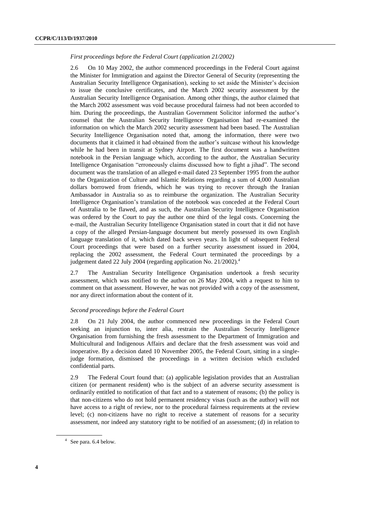#### *First proceedings before the Federal Court (application 21/2002)*

2.6 On 10 May 2002, the author commenced proceedings in the Federal Court against the Minister for Immigration and against the Director General of Security (representing the Australian Security Intelligence Organisation), seeking to set aside the Minister's decision to issue the conclusive certificates, and the March 2002 security assessment by the Australian Security Intelligence Organisation. Among other things, the author claimed that the March 2002 assessment was void because procedural fairness had not been accorded to him. During the proceedings, the Australian Government Solicitor informed the author's counsel that the Australian Security Intelligence Organisation had re-examined the information on which the March 2002 security assessment had been based. The Australian Security Intelligence Organisation noted that, among the information, there were two documents that it claimed it had obtained from the author's suitcase without his knowledge while he had been in transit at Sydney Airport. The first document was a handwritten notebook in the Persian language which, according to the author, the Australian Security Intelligence Organisation "erroneously claims discussed how to fight a jihad". The second document was the translation of an alleged e-mail dated 23 September 1995 from the author to the Organization of Culture and Islamic Relations regarding a sum of 4,000 Australian dollars borrowed from friends, which he was trying to recover through the Iranian Ambassador in Australia so as to reimburse the organization. The Australian Security Intelligence Organisation's translation of the notebook was conceded at the Federal Court of Australia to be flawed, and as such, the Australian Security Intelligence Organisation was ordered by the Court to pay the author one third of the legal costs. Concerning the e-mail, the Australian Security Intelligence Organisation stated in court that it did not have a copy of the alleged Persian-language document but merely possessed its own English language translation of it, which dated back seven years. In light of subsequent Federal Court proceedings that were based on a further security assessment issued in 2004, replacing the 2002 assessment, the Federal Court terminated the proceedings by a judgement dated 22 July 2004 (regarding application No. 21/2002).<sup>4</sup>

2.7 The Australian Security Intelligence Organisation undertook a fresh security assessment, which was notified to the author on 26 May 2004, with a request to him to comment on that assessment. However, he was not provided with a copy of the assessment, nor any direct information about the content of it.

## *Second proceedings before the Federal Court*

2.8 On 21 July 2004, the author commenced new proceedings in the Federal Court seeking an injunction to, inter alia, restrain the Australian Security Intelligence Organisation from furnishing the fresh assessment to the Department of Immigration and Multicultural and Indigenous Affairs and declare that the fresh assessment was void and inoperative. By a decision dated 10 November 2005, the Federal Court, sitting in a singlejudge formation, dismissed the proceedings in a written decision which excluded confidential parts.

2.9 The Federal Court found that: (a) applicable legislation provides that an Australian citizen (or permanent resident) who is the subject of an adverse security assessment is ordinarily entitled to notification of that fact and to a statement of reasons; (b) the policy is that non-citizens who do not hold permanent residency visas (such as the author) will not have access to a right of review, nor to the procedural fairness requirements at the review level; (c) non-citizens have no right to receive a statement of reasons for a security assessment, nor indeed any statutory right to be notified of an assessment; (d) in relation to

<sup>4</sup> See para. 6.4 below.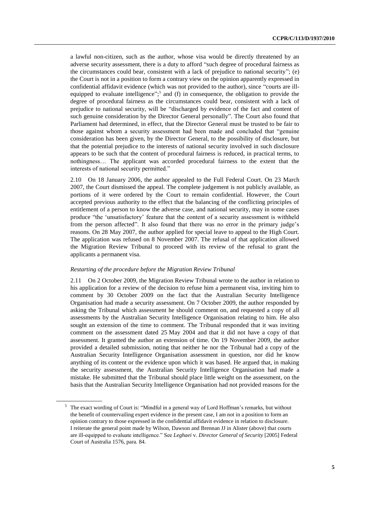a lawful non-citizen, such as the author, whose visa would be directly threatened by an adverse security assessment, there is a duty to afford "such degree of procedural fairness as the circumstances could bear, consistent with a lack of prejudice to national security"; (e) the Court is not in a position to form a contrary view on the opinion apparently expressed in confidential affidavit evidence (which was not provided to the author), since "courts are illequipped to evaluate intelligence";<sup>5</sup> and (f) in consequence, the obligation to provide the degree of procedural fairness as the circumstances could bear, consistent with a lack of prejudice to national security, will be "discharged by evidence of the fact and content of such genuine consideration by the Director General personally". The Court also found that Parliament had determined, in effect, that the Director General must be trusted to be fair to those against whom a security assessment had been made and concluded that "genuine consideration has been given, by the Director General, to the possibility of disclosure, but that the potential prejudice to the interests of national security involved in such disclosure appears to be such that the content of procedural fairness is reduced, in practical terms, to nothingness… The applicant was accorded procedural fairness to the extent that the interests of national security permitted."

2.10 On 18 January 2006, the author appealed to the Full Federal Court. On 23 March 2007, the Court dismissed the appeal. The complete judgement is not publicly available, as portions of it were ordered by the Court to remain confidential. However, the Court accepted previous authority to the effect that the balancing of the conflicting principles of entitlement of a person to know the adverse case, and national security, may in some cases produce "the 'unsatisfactory' feature that the content of a security assessment is withheld from the person affected". It also found that there was no error in the primary judge's reasons. On 28 May 2007, the author applied for special leave to appeal to the High Court. The application was refused on 8 November 2007. The refusal of that application allowed the Migration Review Tribunal to proceed with its review of the refusal to grant the applicants a permanent visa.

## *Restarting of the procedure before the Migration Review Tribunal*

2.11 On 2 October 2009, the Migration Review Tribunal wrote to the author in relation to his application for a review of the decision to refuse him a permanent visa, inviting him to comment by 30 October 2009 on the fact that the Australian Security Intelligence Organisation had made a security assessment. On 7 October 2009, the author responded by asking the Tribunal which assessment he should comment on, and requested a copy of all assessments by the Australian Security Intelligence Organisation relating to him. He also sought an extension of the time to comment. The Tribunal responded that it was inviting comment on the assessment dated 25 May 2004 and that it did not have a copy of that assessment. It granted the author an extension of time. On 19 November 2009, the author provided a detailed submission, noting that neither he nor the Tribunal had a copy of the Australian Security Intelligence Organisation assessment in question, nor did he know anything of its content or the evidence upon which it was based. He argued that, in making the security assessment, the Australian Security Intelligence Organisation had made a mistake. He submitted that the Tribunal should place little weight on the assessment, on the basis that the Australian Security Intelligence Organisation had not provided reasons for the

<sup>5</sup> The exact wording of Court is: "Mindful in a general way of Lord Hoffman's remarks, but without the benefit of countervailing expert evidence in the present case, I am not in a position to form an opinion contrary to those expressed in the confidential affidavit evidence in relation to disclosure. I reiterate the general point made by Wilson, Dawson and Brennan JJ in Alister (above) that courts are ill-equipped to evaluate intelligence." See *Leghaei* v. *Director General of Security* [2005] Federal Court of Australia 1576, para. 84.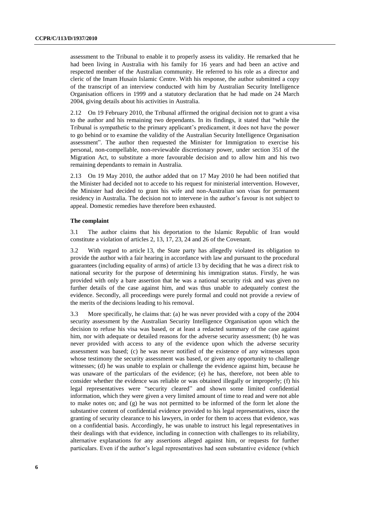assessment to the Tribunal to enable it to properly assess its validity. He remarked that he had been living in Australia with his family for 16 years and had been an active and respected member of the Australian community. He referred to his role as a director and cleric of the Imam Husain Islamic Centre. With his response, the author submitted a copy of the transcript of an interview conducted with him by Australian Security Intelligence Organisation officers in 1999 and a statutory declaration that he had made on 24 March 2004, giving details about his activities in Australia.

2.12 On 19 February 2010, the Tribunal affirmed the original decision not to grant a visa to the author and his remaining two dependants. In its findings, it stated that "while the Tribunal is sympathetic to the primary applicant's predicament, it does not have the power to go behind or to examine the validity of the Australian Security Intelligence Organisation assessment". The author then requested the Minister for Immigration to exercise his personal, non-compellable, non-reviewable discretionary power, under section 351 of the Migration Act, to substitute a more favourable decision and to allow him and his two remaining dependants to remain in Australia.

2.13 On 19 May 2010, the author added that on 17 May 2010 he had been notified that the Minister had decided not to accede to his request for ministerial intervention. However, the Minister had decided to grant his wife and non-Australian son visas for permanent residency in Australia. The decision not to intervene in the author's favour is not subject to appeal. Domestic remedies have therefore been exhausted.

## **The complaint**

3.1 The author claims that his deportation to the Islamic Republic of Iran would constitute a violation of articles 2, 13, 17, 23, 24 and 26 of the Covenant.

3.2 With regard to article 13, the State party has allegedly violated its obligation to provide the author with a fair hearing in accordance with law and pursuant to the procedural guarantees (including equality of arms) of article 13 by deciding that he was a direct risk to national security for the purpose of determining his immigration status. Firstly, he was provided with only a bare assertion that he was a national security risk and was given no further details of the case against him, and was thus unable to adequately contest the evidence. Secondly, all proceedings were purely formal and could not provide a review of the merits of the decisions leading to his removal.

3.3 More specifically, he claims that: (a) he was never provided with a copy of the 2004 security assessment by the Australian Security Intelligence Organisation upon which the decision to refuse his visa was based, or at least a redacted summary of the case against him, nor with adequate or detailed reasons for the adverse security assessment; (b) he was never provided with access to any of the evidence upon which the adverse security assessment was based; (c) he was never notified of the existence of any witnesses upon whose testimony the security assessment was based, or given any opportunity to challenge witnesses; (d) he was unable to explain or challenge the evidence against him, because he was unaware of the particulars of the evidence; (e) he has, therefore, not been able to consider whether the evidence was reliable or was obtained illegally or improperly; (f) his legal representatives were "security cleared" and shown some limited confidential information, which they were given a very limited amount of time to read and were not able to make notes on; and (g) he was not permitted to be informed of the form let alone the substantive content of confidential evidence provided to his legal representatives, since the granting of security clearance to his lawyers, in order for them to access that evidence, was on a confidential basis. Accordingly, he was unable to instruct his legal representatives in their dealings with that evidence, including in connection with challenges to its reliability, alternative explanations for any assertions alleged against him, or requests for further particulars. Even if the author's legal representatives had seen substantive evidence (which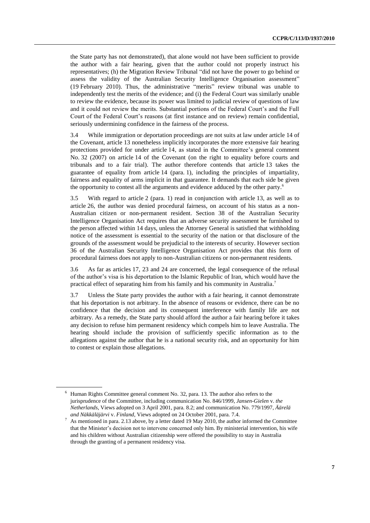the State party has not demonstrated), that alone would not have been sufficient to provide the author with a fair hearing, given that the author could not properly instruct his representatives; (h) the Migration Review Tribunal "did not have the power to go behind or assess the validity of the Australian Security Intelligence Organisation assessment" (19 February 2010). Thus, the administrative "merits" review tribunal was unable to independently test the merits of the evidence; and (i) the Federal Court was similarly unable to review the evidence, because its power was limited to judicial review of questions of law and it could not review the merits. Substantial portions of the Federal Court's and the Full Court of the Federal Court's reasons (at first instance and on review) remain confidential, seriously undermining confidence in the fairness of the process.

3.4 While immigration or deportation proceedings are not suits at law under article 14 of the Covenant, article 13 nonetheless implicitly incorporates the more extensive fair hearing protections provided for under article 14, as stated in the Committee's general comment No. 32 (2007) on article 14 of the Covenant (on the right to equality before courts and tribunals and to a fair trial). The author therefore contends that article 13 takes the guarantee of equality from article 14 (para. 1), including the principles of impartiality, fairness and equality of arms implicit in that guarantee. It demands that each side be given the opportunity to contest all the arguments and evidence adduced by the other party.<sup>6</sup>

3.5 With regard to article 2 (para. 1) read in conjunction with article 13, as well as to article 26, the author was denied procedural fairness, on account of his status as a non-Australian citizen or non-permanent resident. Section 38 of the Australian Security Intelligence Organisation Act requires that an adverse security assessment be furnished to the person affected within 14 days, unless the Attorney General is satisfied that withholding notice of the assessment is essential to the security of the nation or that disclosure of the grounds of the assessment would be prejudicial to the interests of security. However section 36 of the Australian Security Intelligence Organisation Act provides that this form of procedural fairness does not apply to non-Australian citizens or non-permanent residents.

3.6 As far as articles 17, 23 and 24 are concerned, the legal consequence of the refusal of the author's visa is his deportation to the Islamic Republic of Iran, which would have the practical effect of separating him from his family and his community in Australia.<sup>7</sup>

3.7 Unless the State party provides the author with a fair hearing, it cannot demonstrate that his deportation is not arbitrary. In the absence of reasons or evidence, there can be no confidence that the decision and its consequent interference with family life are not arbitrary. As a remedy, the State party should afford the author a fair hearing before it takes any decision to refuse him permanent residency which compels him to leave Australia. The hearing should include the provision of sufficiently specific information as to the allegations against the author that he is a national security risk, and an opportunity for him to contest or explain those allegations.

<sup>6</sup> Human Rights Committee general comment No. 32, para. 13. The author also refers to the jurisprudence of the Committee, including communication No. 846/1999, *Jansen-Gielen* v. *the Netherlands*, Views adopted on 3 April 2001, para. 8.2; and communication No. 779/1997, *Äärelä and Näkkäläjärvi* v. *Finland*, Views adopted on 24 October 2001, para. 7.4.

As mentioned in para. 2.13 above, by a letter dated 19 May 2010, the author informed the Committee that the Minister's decision not to intervene concerned only him. By ministerial intervention, his wife and his children without Australian citizenship were offered the possibility to stay in Australia through the granting of a permanent residency visa.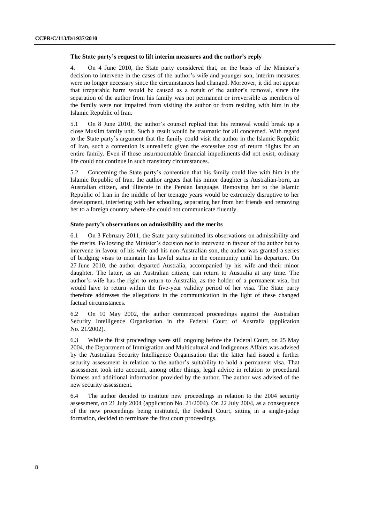#### **The State party's request to lift interim measures and the author's reply**

4. On 4 June 2010, the State party considered that, on the basis of the Minister's decision to intervene in the cases of the author's wife and younger son, interim measures were no longer necessary since the circumstances had changed. Moreover, it did not appear that irreparable harm would be caused as a result of the author's removal, since the separation of the author from his family was not permanent or irreversible as members of the family were not impaired from visiting the author or from residing with him in the Islamic Republic of Iran.

5.1 On 8 June 2010, the author's counsel replied that his removal would break up a close Muslim family unit. Such a result would be traumatic for all concerned. With regard to the State party's argument that the family could visit the author in the Islamic Republic of Iran, such a contention is unrealistic given the excessive cost of return flights for an entire family. Even if those insurmountable financial impediments did not exist, ordinary life could not continue in such transitory circumstances.

5.2 Concerning the State party's contention that his family could live with him in the Islamic Republic of Iran, the author argues that his minor daughter is Australian-born, an Australian citizen, and illiterate in the Persian language. Removing her to the Islamic Republic of Iran in the middle of her teenage years would be extremely disruptive to her development, interfering with her schooling, separating her from her friends and removing her to a foreign country where she could not communicate fluently.

## **State party's observations on admissibility and the merits**

6.1 On 3 February 2011, the State party submitted its observations on admissibility and the merits. Following the Minister's decision not to intervene in favour of the author but to intervene in favour of his wife and his non-Australian son, the author was granted a series of bridging visas to maintain his lawful status in the community until his departure. On 27 June 2010, the author departed Australia, accompanied by his wife and their minor daughter. The latter, as an Australian citizen, can return to Australia at any time. The author's wife has the right to return to Australia, as the holder of a permanent visa, but would have to return within the five-year validity period of her visa. The State party therefore addresses the allegations in the communication in the light of these changed factual circumstances.

6.2 On 10 May 2002, the author commenced proceedings against the Australian Security Intelligence Organisation in the Federal Court of Australia (application No. 21/2002).

6.3 While the first proceedings were still ongoing before the Federal Court, on 25 May 2004, the Department of Immigration and Multicultural and Indigenous Affairs was advised by the Australian Security Intelligence Organisation that the latter had issued a further security assessment in relation to the author's suitability to hold a permanent visa. That assessment took into account, among other things, legal advice in relation to procedural fairness and additional information provided by the author. The author was advised of the new security assessment.

6.4 The author decided to institute new proceedings in relation to the 2004 security assessment, on 21 July 2004 (application No. 21/2004). On 22 July 2004, as a consequence of the new proceedings being instituted, the Federal Court, sitting in a single-judge formation, decided to terminate the first court proceedings.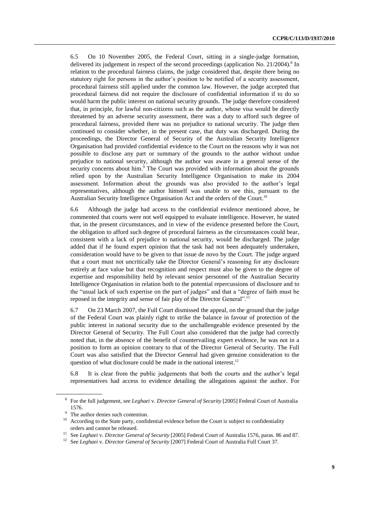6.5 On 10 November 2005, the Federal Court, sitting in a single-judge formation, delivered its judgement in respect of the second proceedings (application No. 21/2004).<sup>8</sup> In relation to the procedural fairness claims, the judge considered that, despite there being no statutory right for persons in the author's position to be notified of a security assessment, procedural fairness still applied under the common law. However, the judge accepted that procedural fairness did not require the disclosure of confidential information if to do so would harm the public interest on national security grounds. The judge therefore considered that, in principle, for lawful non-citizens such as the author, whose visa would be directly threatened by an adverse security assessment, there was a duty to afford such degree of procedural fairness, provided there was no prejudice to national security. The judge then continued to consider whether, in the present case, that duty was discharged. During the proceedings, the Director General of Security of the Australian Security Intelligence Organisation had provided confidential evidence to the Court on the reasons why it was not possible to disclose any part or summary of the grounds to the author without undue prejudice to national security, although the author was aware in a general sense of the security concerns about him.<sup>9</sup> The Court was provided with information about the grounds relied upon by the Australian Security Intelligence Organisation to make its 2004 assessment. Information about the grounds was also provided to the author's legal representatives, although the author himself was unable to see this, pursuant to the Australian Security Intelligence Organisation Act and the orders of the Court.<sup>10</sup>

6.6 Although the judge had access to the confidential evidence mentioned above, he commented that courts were not well equipped to evaluate intelligence. However, he stated that, in the present circumstances, and in view of the evidence presented before the Court, the obligation to afford such degree of procedural fairness as the circumstances could bear, consistent with a lack of prejudice to national security, would be discharged. The judge added that if he found expert opinion that the task had not been adequately undertaken, consideration would have to be given to that issue de novo by the Court. The judge argued that a court must not uncritically take the Director General's reasoning for any disclosure entirely at face value but that recognition and respect must also be given to the degree of expertise and responsibility held by relevant senior personnel of the Australian Security Intelligence Organisation in relation both to the potential repercussions of disclosure and to the "usual lack of such expertise on the part of judges" and that a "degree of faith must be reposed in the integrity and sense of fair play of the Director General".<sup>11</sup>

6.7 On 23 March 2007, the Full Court dismissed the appeal, on the ground that the judge of the Federal Court was plainly right to strike the balance in favour of protection of the public interest in national security due to the unchallengeable evidence presented by the Director General of Security. The Full Court also considered that the judge had correctly noted that, in the absence of the benefit of countervailing expert evidence, he was not in a position to form an opinion contrary to that of the Director General of Security. The Full Court was also satisfied that the Director General had given genuine consideration to the question of what disclosure could be made in the national interest.<sup>12</sup>

6.8 It is clear from the public judgements that both the courts and the author's legal representatives had access to evidence detailing the allegations against the author. For

<sup>8</sup> For the full judgement, see *Leghaei* v. *Director General of Security* [2005] Federal Court of Australia 1576.

<sup>&</sup>lt;sup>9</sup> The author denies such contention.

<sup>&</sup>lt;sup>10</sup> According to the State party, confidential evidence before the Court is subject to confidentiality orders and cannot be released.

<sup>11</sup> See *Leghaei* v. *Director General of Security* [2005] Federal Court of Australia 1576, paras. 86 and 87.

<sup>12</sup> See *Leghaei* v. *Director General of Security* [2007] Federal Court of Australia Full Court 37.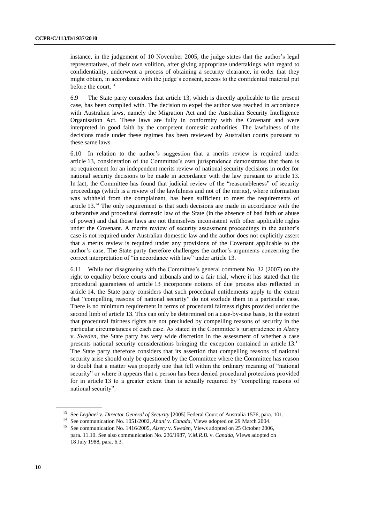instance, in the judgement of 10 November 2005, the judge states that the author's legal representatives, of their own volition, after giving appropriate undertakings with regard to confidentiality, underwent a process of obtaining a security clearance, in order that they might obtain, in accordance with the judge's consent, access to the confidential material put before the court. 13

6.9 The State party considers that article 13, which is directly applicable to the present case, has been complied with. The decision to expel the author was reached in accordance with Australian laws, namely the Migration Act and the Australian Security Intelligence Organisation Act. These laws are fully in conformity with the Covenant and were interpreted in good faith by the competent domestic authorities. The lawfulness of the decisions made under these regimes has been reviewed by Australian courts pursuant to these same laws.

6.10 In relation to the author's suggestion that a merits review is required under article 13, consideration of the Committee's own jurisprudence demonstrates that there is no requirement for an independent merits review of national security decisions in order for national security decisions to be made in accordance with the law pursuant to article 13. In fact, the Committee has found that judicial review of the "reasonableness" of security proceedings (which is a review of the lawfulness and not of the merits), where information was withheld from the complainant, has been sufficient to meet the requirements of article 13. <sup>14</sup> The only requirement is that such decisions are made in accordance with the substantive and procedural domestic law of the State (in the absence of bad faith or abuse of power) and that those laws are not themselves inconsistent with other applicable rights under the Covenant. A merits review of security assessment proceedings in the author's case is not required under Australian domestic law and the author does not explicitly assert that a merits review is required under any provisions of the Covenant applicable to the author's case. The State party therefore challenges the author's arguments concerning the correct interpretation of "in accordance with law" under article 13.

6.11 While not disagreeing with the Committee's general comment No. 32 (2007) on the right to equality before courts and tribunals and to a fair trial, where it has stated that the procedural guarantees of article 13 incorporate notions of due process also reflected in article 14, the State party considers that such procedural entitlements apply to the extent that "compelling reasons of national security" do not exclude them in a particular case. There is no minimum requirement in terms of procedural fairness rights provided under the second limb of article 13. This can only be determined on a case-by-case basis, to the extent that procedural fairness rights are not precluded by compelling reasons of security in the particular circumstances of each case. As stated in the Committee's jurisprudence in *Alzery*  v. *Sweden*, the State party has very wide discretion in the assessment of whether a case presents national security considerations bringing the exception contained in article 13.<sup>15</sup> The State party therefore considers that its assertion that compelling reasons of national security arise should only be questioned by the Committee where the Committee has reason to doubt that a matter was properly one that fell within the ordinary meaning of "national security" or where it appears that a person has been denied procedural protections provided for in article 13 to a greater extent than is actually required by "compelling reasons of national security".

<sup>13</sup> See *Leghaei* v. *Director General of Security* [2005] Federal Court of Australia 1576, para. 101.

<sup>14</sup> See communication No. 1051/2002, *Ahani* v. *Canada*, Views adopted on 29 March 2004.

<sup>15</sup> See communication No. 1416/2005, *Alzery* v. *Sweden*, Views adopted on 25 October 2006, para. 11.10. See also communication No. 236/1987, *V.M.R.B.* v. *Canada*, Views adopted on 18 July 1988, para. 6.3.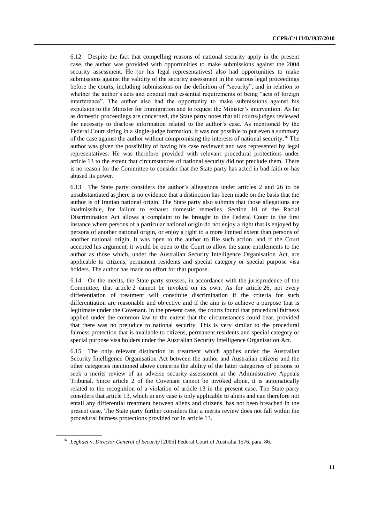6.12 Despite the fact that compelling reasons of national security apply in the present case, the author was provided with opportunities to make submissions against the 2004 security assessment. He (or his legal representatives) also had opportunities to make submissions against the validity of the security assessment in the various legal proceedings before the courts, including submissions on the definition of "security", and in relation to whether the author's acts and conduct met essential requirements of being "acts of foreign interference". The author also had the opportunity to make submissions against his expulsion to the Minister for Immigration and to request the Minister's intervention. As far as domestic proceedings are concerned, the State party notes that all courts/judges reviewed the necessity to disclose information related to the author's case. As mentioned by the Federal Court sitting in a single-judge formation, it was not possible to put even a summary of the case against the author without compromising the interests of national security.<sup>16</sup> The author was given the possibility of having his case reviewed and was represented by legal representatives. He was therefore provided with relevant procedural protections under article 13 to the extent that circumstances of national security did not preclude them. There is no reason for the Committee to consider that the State party has acted in bad faith or has abused its power.

6.13 The State party considers the author's allegations under articles 2 and 26 to be unsubstantiated as there is no evidence that a distinction has been made on the basis that the author is of Iranian national origin. The State party also submits that those allegations are inadmissible, for failure to exhaust domestic remedies. Section 10 of the Racial Discrimination Act allows a complaint to be brought to the Federal Court in the first instance where persons of a particular national origin do not enjoy a right that is enjoyed by persons of another national origin, or enjoy a right to a more limited extent than persons of another national origin. It was open to the author to file such action, and if the Court accepted his argument, it would be open to the Court to allow the same entitlements to the author as those which, under the Australian Security Intelligence Organisation Act, are applicable to citizens, permanent residents and special category or special purpose visa holders. The author has made no effort for that purpose.

6.14 On the merits, the State party stresses, in accordance with the jurisprudence of the Committee, that article 2 cannot be invoked on its own. As for article 26, not every differentiation of treatment will constitute discrimination if the criteria for such differentiation are reasonable and objective and if the aim is to achieve a purpose that is legitimate under the Covenant. In the present case, the courts found that procedural fairness applied under the common law to the extent that the circumstances could bear, provided that there was no prejudice to national security. This is very similar to the procedural fairness protection that is available to citizens, permanent residents and special category or special purpose visa holders under the Australian Security Intelligence Organisation Act.

6.15 The only relevant distinction in treatment which applies under the Australian Security Intelligence Organisation Act between the author and Australian citizens and the other categories mentioned above concerns the ability of the latter categories of persons to seek a merits review of an adverse security assessment at the Administrative Appeals Tribunal. Since article 2 of the Covenant cannot be invoked alone, it is automatically related to the recognition of a violation of article 13 in the present case. The State party considers that article 13, which in any case is only applicable to aliens and can therefore not entail any differential treatment between aliens and citizens, has not been breached in the present case. The State party further considers that a merits review does not fall within the procedural fairness protections provided for in article 13.

<sup>16</sup> *Leghaei* v. *Director General of Security* [2005] Federal Court of Australia 1576, para. 86.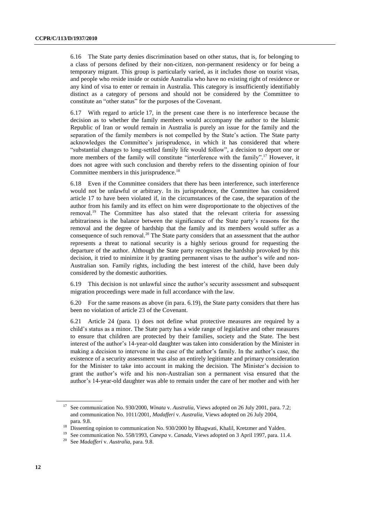6.16 The State party denies discrimination based on other status, that is, for belonging to a class of persons defined by their non-citizen, non-permanent residency or for being a temporary migrant. This group is particularly varied, as it includes those on tourist visas, and people who reside inside or outside Australia who have no existing right of residence or any kind of visa to enter or remain in Australia. This category is insufficiently identifiably distinct as a category of persons and should not be considered by the Committee to constitute an "other status" for the purposes of the Covenant.

6.17 With regard to article 17, in the present case there is no interference because the decision as to whether the family members would accompany the author to the Islamic Republic of Iran or would remain in Australia is purely an issue for the family and the separation of the family members is not compelled by the State's action. The State party acknowledges the Committee's jurisprudence, in which it has considered that where "substantial changes to long-settled family life would follow", a decision to deport one or more members of the family will constitute "interference with the family".<sup>17</sup> However, it does not agree with such conclusion and thereby refers to the dissenting opinion of four Committee members in this jurisprudence.<sup>18</sup>

6.18 Even if the Committee considers that there has been interference, such interference would not be unlawful or arbitrary. In its jurisprudence, the Committee has considered article 17 to have been violated if, in the circumstances of the case, the separation of the author from his family and its effect on him were disproportionate to the objectives of the removal.<sup>19</sup> The Committee has also stated that the relevant criteria for assessing arbitrariness is the balance between the significance of the State party's reasons for the removal and the degree of hardship that the family and its members would suffer as a consequence of such removal. <sup>20</sup> The State party considers that an assessment that the author represents a threat to national security is a highly serious ground for requesting the departure of the author. Although the State party recognizes the hardship provoked by this decision, it tried to minimize it by granting permanent visas to the author's wife and non-Australian son. Family rights, including the best interest of the child, have been duly considered by the domestic authorities.

6.19 This decision is not unlawful since the author's security assessment and subsequent migration proceedings were made in full accordance with the law.

6.20 For the same reasons as above (in para. 6.19), the State party considers that there has been no violation of article 23 of the Covenant.

6.21 Article 24 (para. 1) does not define what protective measures are required by a child's status as a minor. The State party has a wide range of legislative and other measures to ensure that children are protected by their families, society and the State. The best interest of the author's 14-year-old daughter was taken into consideration by the Minister in making a decision to intervene in the case of the author's family. In the author's case, the existence of a security assessment was also an entirely legitimate and primary consideration for the Minister to take into account in making the decision. The Minister's decision to grant the author's wife and his non-Australian son a permanent visa ensured that the author's 14-year-old daughter was able to remain under the care of her mother and with her

<sup>17</sup> See communication No. 930/2000, *Winata* v. *Australia*, Views adopted on 26 July 2001, para. 7.2; and communication No. 1011/2001, *Madafferi* v. *Australia*, Views adopted on 26 July 2004, para. 9.8.

<sup>&</sup>lt;sup>18</sup> Dissenting opinion to communication No. 930/2000 by Bhagwati, Khalil, Kretzmer and Yalden.

<sup>19</sup> See communication No. 558/1993, *Canepa* v. *Canada*, Views adopted on 3 April 1997, para. 11.4.

<sup>20</sup> See *Madafferi* v. *Australia*, para. 9.8.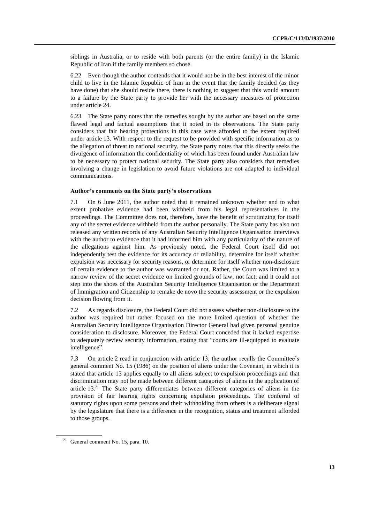siblings in Australia, or to reside with both parents (or the entire family) in the Islamic Republic of Iran if the family members so chose.

6.22 Even though the author contends that it would not be in the best interest of the minor child to live in the Islamic Republic of Iran in the event that the family decided (as they have done) that she should reside there, there is nothing to suggest that this would amount to a failure by the State party to provide her with the necessary measures of protection under article 24.

6.23 The State party notes that the remedies sought by the author are based on the same flawed legal and factual assumptions that it noted in its observations. The State party considers that fair hearing protections in this case were afforded to the extent required under article 13. With respect to the request to be provided with specific information as to the allegation of threat to national security, the State party notes that this directly seeks the divulgence of information the confidentiality of which has been found under Australian law to be necessary to protect national security. The State party also considers that remedies involving a change in legislation to avoid future violations are not adapted to individual communications.

## **Author's comments on the State party's observations**

7.1 On 6 June 2011, the author noted that it remained unknown whether and to what extent probative evidence had been withheld from his legal representatives in the proceedings. The Committee does not, therefore, have the benefit of scrutinizing for itself any of the secret evidence withheld from the author personally. The State party has also not released any written records of any Australian Security Intelligence Organisation interviews with the author to evidence that it had informed him with any particularity of the nature of the allegations against him. As previously noted, the Federal Court itself did not independently test the evidence for its accuracy or reliability, determine for itself whether expulsion was necessary for security reasons, or determine for itself whether non-disclosure of certain evidence to the author was warranted or not. Rather, the Court was limited to a narrow review of the secret evidence on limited grounds of law, not fact; and it could not step into the shoes of the Australian Security Intelligence Organisation or the Department of Immigration and Citizenship to remake de novo the security assessment or the expulsion decision flowing from it.

7.2 As regards disclosure, the Federal Court did not assess whether non-disclosure to the author was required but rather focused on the more limited question of whether the Australian Security Intelligence Organisation Director General had given personal genuine consideration to disclosure. Moreover, the Federal Court conceded that it lacked expertise to adequately review security information, stating that "courts are ill-equipped to evaluate intelligence".

7.3 On article 2 read in conjunction with article 13, the author recalls the Committee's general comment No. 15 (1986) on the position of aliens under the Covenant, in which it is stated that article 13 applies equally to all aliens subject to expulsion proceedings and that discrimination may not be made between different categories of aliens in the application of article 13.<sup>21</sup> The State party differentiates between different categories of aliens in the provision of fair hearing rights concerning expulsion proceedings. The conferral of statutory rights upon some persons and their withholding from others is a deliberate signal by the legislature that there is a difference in the recognition, status and treatment afforded to those groups.

 $21$  General comment No. 15, para. 10.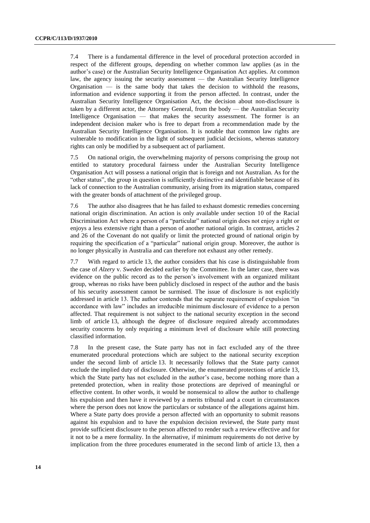7.4 There is a fundamental difference in the level of procedural protection accorded in respect of the different groups, depending on whether common law applies (as in the author's case) or the Australian Security Intelligence Organisation Act applies. At common law, the agency issuing the security assessment — the Australian Security Intelligence Organisation — is the same body that takes the decision to withhold the reasons, information and evidence supporting it from the person affected. In contrast, under the Australian Security Intelligence Organisation Act, the decision about non-disclosure is taken by a different actor, the Attorney General, from the body — the Australian Security Intelligence Organisation — that makes the security assessment. The former is an independent decision maker who is free to depart from a recommendation made by the Australian Security Intelligence Organisation. It is notable that common law rights are vulnerable to modification in the light of subsequent judicial decisions, whereas statutory rights can only be modified by a subsequent act of parliament.

7.5 On national origin, the overwhelming majority of persons comprising the group not entitled to statutory procedural fairness under the Australian Security Intelligence Organisation Act will possess a national origin that is foreign and not Australian. As for the "other status", the group in question is sufficiently distinctive and identifiable because of its lack of connection to the Australian community, arising from its migration status, compared with the greater bonds of attachment of the privileged group.

7.6 The author also disagrees that he has failed to exhaust domestic remedies concerning national origin discrimination. An action is only available under section 10 of the Racial Discrimination Act where a person of a "particular" national origin does not enjoy a right or enjoys a less extensive right than a person of another national origin. In contrast, articles 2 and 26 of the Covenant do not qualify or limit the protected ground of national origin by requiring the specification of a "particular" national origin group. Moreover, the author is no longer physically in Australia and can therefore not exhaust any other remedy.

7.7 With regard to article 13, the author considers that his case is distinguishable from the case of *Alzery* v. *Sweden* decided earlier by the Committee. In the latter case, there was evidence on the public record as to the person's involvement with an organized militant group, whereas no risks have been publicly disclosed in respect of the author and the basis of his security assessment cannot be surmised. The issue of disclosure is not explicitly addressed in article 13. The author contends that the separate requirement of expulsion "in accordance with law" includes an irreducible minimum disclosure of evidence to a person affected. That requirement is not subject to the national security exception in the second limb of article 13, although the degree of disclosure required already accommodates security concerns by only requiring a minimum level of disclosure while still protecting classified information.

7.8 In the present case, the State party has not in fact excluded any of the three enumerated procedural protections which are subject to the national security exception under the second limb of article 13. It necessarily follows that the State party cannot exclude the implied duty of disclosure. Otherwise, the enumerated protections of article 13, which the State party has not excluded in the author's case, become nothing more than a pretended protection, when in reality those protections are deprived of meaningful or effective content. In other words, it would be nonsensical to allow the author to challenge his expulsion and then have it reviewed by a merits tribunal and a court in circumstances where the person does not know the particulars or substance of the allegations against him. Where a State party does provide a person affected with an opportunity to submit reasons against his expulsion and to have the expulsion decision reviewed, the State party must provide sufficient disclosure to the person affected to render such a review effective and for it not to be a mere formality. In the alternative, if minimum requirements do not derive by implication from the three procedures enumerated in the second limb of article 13, then a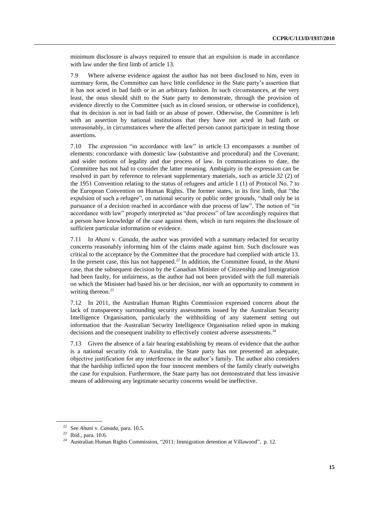minimum disclosure is always required to ensure that an expulsion is made in accordance with law under the first limb of article 13.

7.9 Where adverse evidence against the author has not been disclosed to him, even in summary form, the Committee can have little confidence in the State party's assertion that it has not acted in bad faith or in an arbitrary fashion. In such circumstances, at the very least, the onus should shift to the State party to demonstrate, through the provision of evidence directly to the Committee (such as in closed session, or otherwise in confidence), that its decision is not in bad faith or an abuse of power. Otherwise, the Committee is left with an assertion by national institutions that they have not acted in bad faith or unreasonably, in circumstances where the affected person cannot participate in testing those assertions.

7.10 The expression "in accordance with law" in article 13 encompasses a number of elements: concordance with domestic law (substantive and procedural) and the Covenant; and wider notions of legality and due process of law. In communications to date, the Committee has not had to consider the latter meaning. Ambiguity in the expression can be resolved in part by reference to relevant supplementary materials, such as article 32 (2) of the 1951 Convention relating to the status of refugees and article 1 (1) of Protocol No. 7 to the European Convention on Human Rights. The former states, in its first limb, that "the expulsion of such a refugee", on national security or public order grounds, "shall only be in pursuance of a decision reached in accordance with due process of law". The notion of "in accordance with law" properly interpreted as "due process" of law accordingly requires that a person have knowledge of the case against them, which in turn requires the disclosure of sufficient particular information or evidence.

7.11 In *Ahani* v. *Canada*, the author was provided with a summary redacted for security concerns reasonably informing him of the claims made against him. Such disclosure was critical to the acceptance by the Committee that the procedure had complied with article 13. In the present case, this has not happened. <sup>22</sup> In addition, the Committee found, in the *Ahani*  case, that the subsequent decision by the Canadian Minister of Citizenship and Immigration had been faulty, for unfairness, as the author had not been provided with the full materials on which the Minister had based his or her decision, nor with an opportunity to comment in writing thereon. 23

7.12 In 2011, the Australian Human Rights Commission expressed concern about the lack of transparency surrounding security assessments issued by the Australian Security Intelligence Organisation, particularly the withholding of any statement setting out information that the Australian Security Intelligence Organisation relied upon in making decisions and the consequent inability to effectively contest adverse assessments.<sup>24</sup>

7.13 Given the absence of a fair hearing establishing by means of evidence that the author is a national security risk to Australia, the State party has not presented an adequate, objective justification for any interference in the author's family. The author also considers that the hardship inflicted upon the four innocent members of the family clearly outweighs the case for expulsion. Furthermore, the State party has not demonstrated that less invasive means of addressing any legitimate security concerns would be ineffective.

<sup>22</sup> See *Ahani* v. *Canada*, para. 10.5.

<sup>23</sup> Ibid., para. 10.6.

<sup>&</sup>lt;sup>24</sup> Australian Human Rights Commission, "2011: Immigration detention at Villawood", p. 12.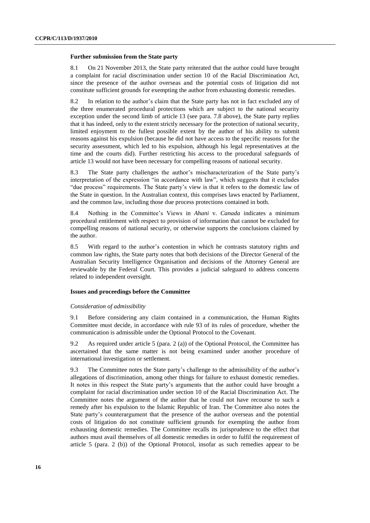#### **Further submission from the State party**

8.1 On 21 November 2013, the State party reiterated that the author could have brought a complaint for racial discrimination under section 10 of the Racial Discrimination Act, since the presence of the author overseas and the potential costs of litigation did not constitute sufficient grounds for exempting the author from exhausting domestic remedies.

8.2 In relation to the author's claim that the State party has not in fact excluded any of the three enumerated procedural protections which are subject to the national security exception under the second limb of article 13 (see para. 7.8 above), the State party replies that it has indeed, only to the extent strictly necessary for the protection of national security, limited enjoyment to the fullest possible extent by the author of his ability to submit reasons against his expulsion (because he did not have access to the specific reasons for the security assessment, which led to his expulsion, although his legal representatives at the time and the courts did). Further restricting his access to the procedural safeguards of article 13 would not have been necessary for compelling reasons of national security.

8.3 The State party challenges the author's mischaracterization of the State party's interpretation of the expression "in accordance with law", which suggests that it excludes "due process" requirements. The State party's view is that it refers to the domestic law of the State in question. In the Australian context, this comprises laws enacted by Parliament, and the common law, including those due process protections contained in both.

8.4 Nothing in the Committee's Views in *Ahani* v. *Canada* indicates a minimum procedural entitlement with respect to provision of information that cannot be excluded for compelling reasons of national security, or otherwise supports the conclusions claimed by the author.

8.5 With regard to the author's contention in which he contrasts statutory rights and common law rights, the State party notes that both decisions of the Director General of the Australian Security Intelligence Organisation and decisions of the Attorney General are reviewable by the Federal Court. This provides a judicial safeguard to address concerns related to independent oversight.

## **Issues and proceedings before the Committee**

#### *Consideration of admissibility*

9.1 Before considering any claim contained in a communication, the Human Rights Committee must decide, in accordance with rule 93 of its rules of procedure, whether the communication is admissible under the Optional Protocol to the Covenant.

9.2 As required under article 5 (para. 2 (a)) of the Optional Protocol, the Committee has ascertained that the same matter is not being examined under another procedure of international investigation or settlement.

9.3 The Committee notes the State party's challenge to the admissibility of the author's allegations of discrimination, among other things for failure to exhaust domestic remedies. It notes in this respect the State party's arguments that the author could have brought a complaint for racial discrimination under section 10 of the Racial Discrimination Act. The Committee notes the argument of the author that he could not have recourse to such a remedy after his expulsion to the Islamic Republic of Iran. The Committee also notes the State party's counterargument that the presence of the author overseas and the potential costs of litigation do not constitute sufficient grounds for exempting the author from exhausting domestic remedies. The Committee recalls its jurisprudence to the effect that authors must avail themselves of all domestic remedies in order to fulfil the requirement of article 5 (para. 2 (b)) of the Optional Protocol, insofar as such remedies appear to be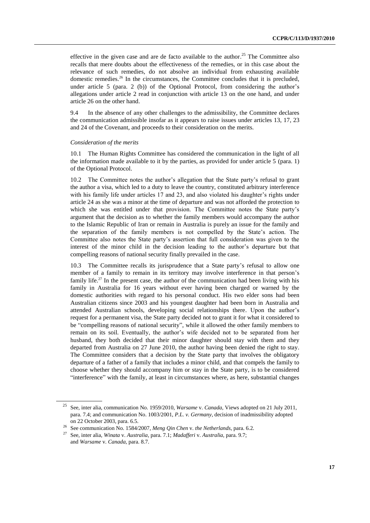effective in the given case and are de facto available to the author.<sup>25</sup> The Committee also recalls that mere doubts about the effectiveness of the remedies, or in this case about the relevance of such remedies, do not absolve an individual from exhausting available domestic remedies.<sup>26</sup> In the circumstances, the Committee concludes that it is precluded, under article 5 (para. 2 (b)) of the Optional Protocol, from considering the author's allegations under article 2 read in conjunction with article 13 on the one hand, and under article 26 on the other hand.

9.4 In the absence of any other challenges to the admissibility, the Committee declares the communication admissible insofar as it appears to raise issues under articles 13, 17, 23 and 24 of the Covenant, and proceeds to their consideration on the merits.

## *Consideration of the merits*

10.1 The Human Rights Committee has considered the communication in the light of all the information made available to it by the parties, as provided for under article 5 (para. 1) of the Optional Protocol.

10.2 The Committee notes the author's allegation that the State party's refusal to grant the author a visa, which led to a duty to leave the country, constituted arbitrary interference with his family life under articles 17 and 23, and also violated his daughter's rights under article 24 as she was a minor at the time of departure and was not afforded the protection to which she was entitled under that provision. The Committee notes the State party's argument that the decision as to whether the family members would accompany the author to the Islamic Republic of Iran or remain in Australia is purely an issue for the family and the separation of the family members is not compelled by the State's action. The Committee also notes the State party's assertion that full consideration was given to the interest of the minor child in the decision leading to the author's departure but that compelling reasons of national security finally prevailed in the case.

10.3 The Committee recalls its jurisprudence that a State party's refusal to allow one member of a family to remain in its territory may involve interference in that person's family life.<sup>27</sup> In the present case, the author of the communication had been living with his family in Australia for 16 years without ever having been charged or warned by the domestic authorities with regard to his personal conduct. His two elder sons had been Australian citizens since 2003 and his youngest daughter had been born in Australia and attended Australian schools, developing social relationships there. Upon the author's request for a permanent visa, the State party decided not to grant it for what it considered to be "compelling reasons of national security", while it allowed the other family members to remain on its soil. Eventually, the author's wife decided not to be separated from her husband, they both decided that their minor daughter should stay with them and they departed from Australia on 27 June 2010, the author having been denied the right to stay. The Committee considers that a decision by the State party that involves the obligatory departure of a father of a family that includes a minor child, and that compels the family to choose whether they should accompany him or stay in the State party, is to be considered "interference" with the family, at least in circumstances where, as here, substantial changes

<sup>25</sup> See, inter alia, communication No. 1959/2010, *Warsame* v. *Canada*, Views adopted on 21 July 2011, para. 7.4; and communication No. 1003/2001, *P.L. v. Germany*, decision of inadmissibility adopted on 22 October 2003, para. 6.5.

<sup>26</sup> See communication No. 1584/2007, *Meng Qin Chen v. the Netherlands*, para. 6.2.<br><sup>27</sup> See inter alia *Winata y Australia* para. 7.1: *Madafferi y Australia* para. 9.7.

<sup>27</sup> See, inter alia, *Winata* v. *Australia*, para. 7.1; *Madafferi* v. *Australia*, para. 9.7; and *Warsame* v. *Canada*, para. 8.7.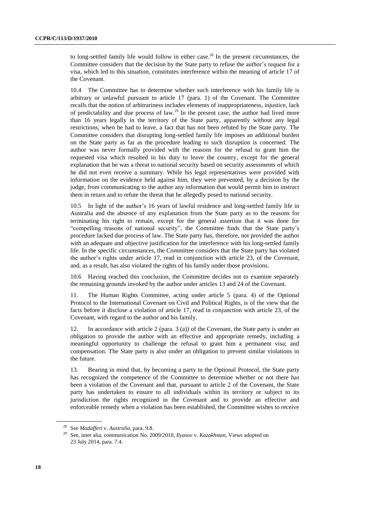to long-settled family life would follow in either case. <sup>28</sup> In the present circumstances, the Committee considers that the decision by the State party to refuse the author's request for a visa, which led to this situation, constitutes interference within the meaning of article 17 of the Covenant.

10.4 The Committee has to determine whether such interference with his family life is arbitrary or unlawful pursuant to article 17 (para. 1) of the Covenant. The Committee recalls that the notion of arbitrariness includes elements of inappropriateness, injustice, lack of predictability and due process of law.<sup>29</sup> In the present case, the author had lived more than 16 years legally in the territory of the State party, apparently without any legal restrictions, when he had to leave, a fact that has not been refuted by the State party. The Committee considers that disrupting long-settled family life imposes an additional burden on the State party as far as the procedure leading to such disruption is concerned. The author was never formally provided with the reasons for the refusal to grant him the requested visa which resulted in his duty to leave the country, except for the general explanation that he was a threat to national security based on security assessments of which he did not even receive a summary. While his legal representatives were provided with information on the evidence held against him, they were prevented, by a decision by the judge, from communicating to the author any information that would permit him to instruct them in return and to refute the threat that he allegedly posed to national security.

10.5 In light of the author's 16 years of lawful residence and long-settled family life in Australia and the absence of any explanation from the State party as to the reasons for terminating his right to remain, except for the general assertion that it was done for "compelling reasons of national security", the Committee finds that the State party's procedure lacked due process of law. The State party has, therefore, not provided the author with an adequate and objective justification for the interference with his long-settled family life. In the specific circumstances, the Committee considers that the State party has violated the author's rights under article 17, read in conjunction with article 23, of the Covenant, and, as a result, has also violated the rights of his family under those provisions.

10.6 Having reached this conclusion, the Committee decides not to examine separately the remaining grounds invoked by the author under articles 13 and 24 of the Covenant.

11. The Human Rights Committee, acting under article 5 (para. 4) of the Optional Protocol to the International Covenant on Civil and Political Rights, is of the view that the facts before it disclose a violation of article 17, read in conjunction with article 23, of the Covenant, with regard to the author and his family.

12. In accordance with article 2 (para. 3 (a)) of the Covenant, the State party is under an obligation to provide the author with an effective and appropriate remedy, including a meaningful opportunity to challenge the refusal to grant him a permanent visa; and compensation. The State party is also under an obligation to prevent similar violations in the future.

13. Bearing in mind that, by becoming a party to the Optional Protocol, the State party has recognized the competence of the Committee to determine whether or not there has been a violation of the Covenant and that, pursuant to article 2 of the Covenant, the State party has undertaken to ensure to all individuals within its territory or subject to its jurisdiction the rights recognized in the Covenant and to provide an effective and enforceable remedy when a violation has been established, the Committee wishes to receive

<sup>28</sup> See *Madafferi* v. *Australia*, para. 9.8.

<sup>29</sup> See, inter alia, communication No. 2009/2010, *Ilyasov* v. *Kazakhstan*, Views adopted on 23 July 2014, para. 7.4.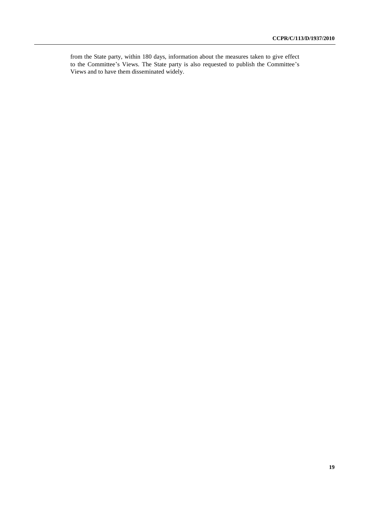from the State party, within 180 days, information about the measures taken to give effect to the Committee's Views. The State party is also requested to publish the Committee's Views and to have them disseminated widely.